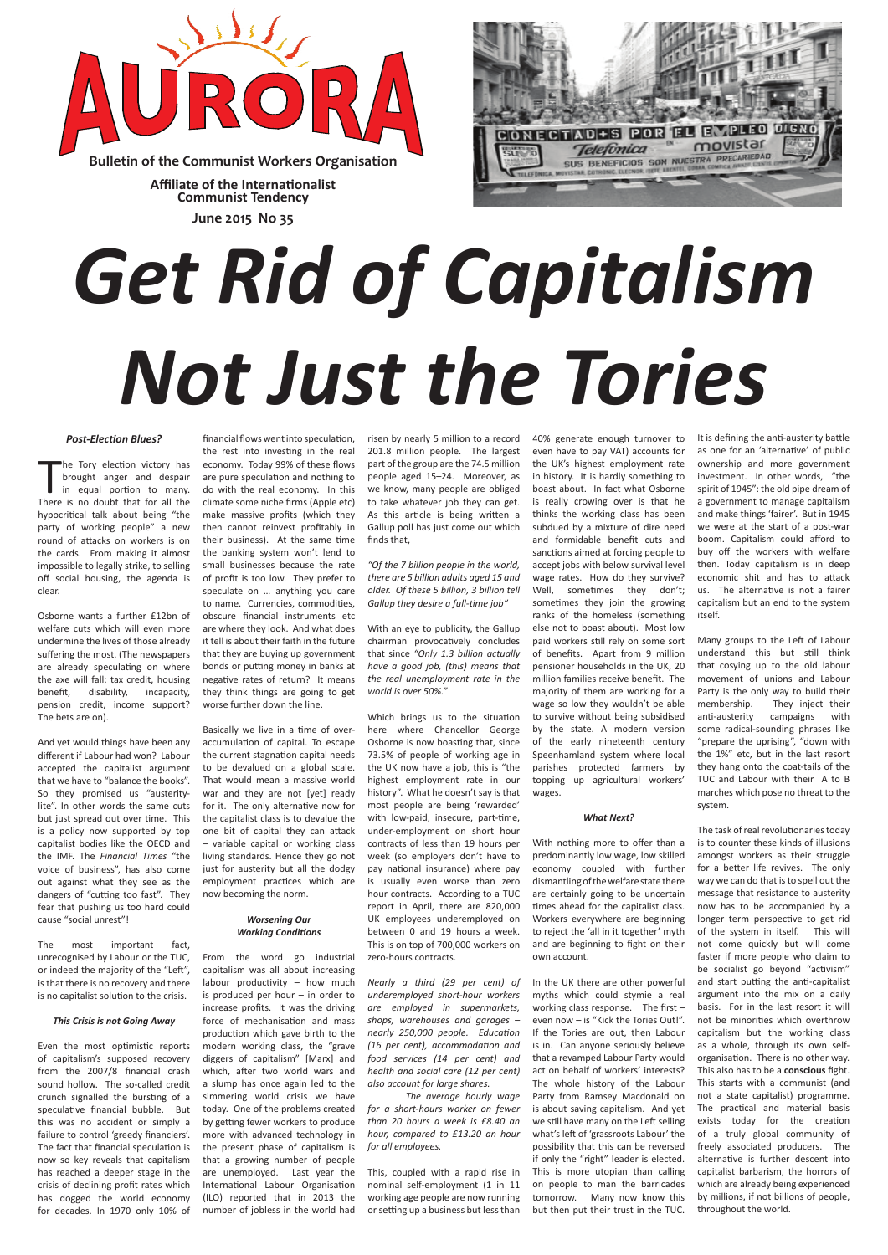# *Get Rid of Capitalism Not Just the Tories*

#### *Post-Election Blues?*

 $\prod_{\text{linear}}$ he Tory election victory has brought anger and despair in equal portion to many. There is no doubt that for all the hypocritical talk about being "the party of working people" a new round of attacks on workers is on the cards. From making it almost impossible to legally strike, to selling off social housing, the agenda is clear.

Osborne wants a further £12bn of welfare cuts which will even more undermine the lives of those already suffering the most. (The newspapers are already speculating on where the axe will fall: tax credit, housing benefit, disability, incapacity, pension credit, income support? The bets are on).

And yet would things have been any different if Labour had won? Labour accepted the capitalist argument that we have to "balance the books". So they promised us "austeritylite". In other words the same cuts but just spread out over time. This is a policy now supported by top capitalist bodies like the OECD and the IMF. The *Financial Times* "the voice of business", has also come out against what they see as the dangers of "cutting too fast". They fear that pushing us too hard could cause "social unrest"!

The most important fact,

unrecognised by Labour or the TUC, or indeed the majority of the "Left", is that there is no recovery and there is no capitalist solution to the crisis.

#### *This Crisis is not Going Away*

Even the most optimistic reports of capitalism's supposed recovery from the 2007/8 financial crash sound hollow. The so-called credit crunch signalled the bursting of a speculative financial bubble. But this was no accident or simply a failure to control 'greedy financiers'. The fact that financial speculation is now so key reveals that capitalism has reached a deeper stage in the crisis of declining profit rates which has dogged the world economy for decades. In 1970 only 10% of

financial flows went into speculation, the rest into investing in the real economy. Today 99% of these flows are pure speculation and nothing to do with the real economy. In this climate some niche firms (Apple etc) make massive profits (which they then cannot reinvest profitably in their business). At the same time the banking system won't lend to small businesses because the rate of profit is too low. They prefer to speculate on … anything you care to name. Currencies, commodities, obscure financial instruments etc are where they look. And what does it tell is about their faith in the future that they are buying up government bonds or putting money in banks at negative rates of return? It means they think things are going to get worse further down the line.

Basically we live in a time of overaccumulation of capital. To escape the current stagnation capital needs to be devalued on a global scale. That would mean a massive world war and they are not [yet] ready for it. The only alternative now for the capitalist class is to devalue the one bit of capital they can attack – variable capital or working class living standards. Hence they go not just for austerity but all the dodgy employment practices which are now becoming the norm.

#### *Worsening Our Working Conditions*

From the word go industrial capitalism was all about increasing labour productivity – how much is produced per hour – in order to increase profits. It was the driving force of mechanisation and mass production which gave birth to the modern working class, the "grave diggers of capitalism" [Marx] and which, after two world wars and a slump has once again led to the simmering world crisis we have today. One of the problems created by getting fewer workers to produce more with advanced technology in the present phase of capitalism is that a growing number of people are unemployed. Last year the International Labour Organisation (ILO) reported that in 2013 the number of jobless in the world had

risen by nearly 5 million to a record 201.8 million people. The largest part of the group are the 74.5 million people aged 15–24. Moreover, as we know, many people are obliged to take whatever job they can get. As this article is being written a Gallup poll has just come out which finds that,

*"Of the 7 billion people in the world, there are 5 billion adults aged 15 and older. Of these 5 billion, 3 billion tell Gallup they desire a full-time job"* 

With an eye to publicity, the Gallup chairman provocatively concludes that since *"Only 1.3 billion actually have a good job, (this) means that the real unemployment rate in the world is over 50%."*

Which brings us to the situation here where Chancellor George Osborne is now boasting that, since 73.5% of people of working age in the UK now have a job, this is "the highest employment rate in our history". What he doesn't say is that most people are being 'rewarded' with low-paid, insecure, part-time, under-employment on short hour contracts of less than 19 hours per week (so employers don't have to pay national insurance) where pay is usually even worse than zero hour contracts. According to a TUC report in April, there are 820,000 UK employees underemployed on between 0 and 19 hours a week. This is on top of 700,000 workers on

zero-hours contracts.

*Nearly a third (29 per cent) of underemployed short-hour workers are employed in supermarkets, shops, warehouses and garages – nearly 250,000 people. Education (16 per cent), accommodation and food services (14 per cent) and health and social care (12 per cent) also account for large shares.* 

*The average hourly wage for a short-hours worker on fewer than 20 hours a week is £8.40 an hour, compared to £13.20 an hour for all employees.*

This, coupled with a rapid rise in nominal self-employment (1 in 11 working age people are now running or setting up a business but less than 40% generate enough turnover to even have to pay VAT) accounts for the UK's highest employment rate in history. It is hardly something to boast about. In fact what Osborne is really crowing over is that he thinks the working class has been subdued by a mixture of dire need and formidable benefit cuts and sanctions aimed at forcing people to accept jobs with below survival level wage rates. How do they survive? Well, sometimes they don't; sometimes they join the growing ranks of the homeless (something else not to boast about). Most low paid workers still rely on some sort of benefits. Apart from 9 million pensioner households in the UK, 20 million families receive benefit. The majority of them are working for a wage so low they wouldn't be able to survive without being subsidised by the state. A modern version of the early nineteenth century Speenhamland system where local parishes protected farmers by topping up agricultural workers' wages.

#### *What Next?*

With nothing more to offer than a predominantly low wage, low skilled economy coupled with further dismantling of the welfare state there are certainly going to be uncertain times ahead for the capitalist class. Workers everywhere are beginning to reject the 'all in it together' myth and are beginning to fight on their

#### own account.

In the UK there are other powerful myths which could stymie a real working class response. The first – even now – is "Kick the Tories Out!". If the Tories are out, then Labour is in. Can anyone seriously believe that a revamped Labour Party would act on behalf of workers' interests? The whole history of the Labour Party from Ramsey Macdonald on is about saving capitalism. And yet we still have many on the Left selling what's left of 'grassroots Labour' the possibility that this can be reversed if only the "right" leader is elected. This is more utopian than calling on people to man the barricades tomorrow. Many now know this but then put their trust in the TUC.

It is defining the anti-austerity battle as one for an 'alternative' of public ownership and more government investment. In other words, "the spirit of 1945": the old pipe dream of a government to manage capitalism and make things 'fairer'. But in 1945 we were at the start of a post-war boom. Capitalism could afford to buy off the workers with welfare then. Today capitalism is in deep economic shit and has to attack us. The alternative is not a fairer capitalism but an end to the system itself.

Many groups to the Left of Labour understand this but still think that cosying up to the old labour movement of unions and Labour Party is the only way to build their membership. They inject their anti-austerity campaigns with some radical-sounding phrases like "prepare the uprising", "down with the 1%" etc, but in the last resort they hang onto the coat-tails of the TUC and Labour with their A to B marches which pose no threat to the system.

The task of real revolutionaries today is to counter these kinds of illusions amongst workers as their struggle for a better life revives. The only way we can do that is to spell out the message that resistance to austerity now has to be accompanied by a longer term perspective to get rid of the system in itself. This will not come quickly but will come faster if more people who claim to be socialist go beyond "activism" and start putting the anti-capitalist argument into the mix on a daily basis. For in the last resort it will not be minorities which overthrow capitalism but the working class as a whole, through its own selforganisation. There is no other way. This also has to be a **conscious** fight. This starts with a communist (and not a state capitalist) programme. The practical and material basis exists today for the creation of a truly global community of freely associated producers. The alternative is further descent into capitalist barbarism, the horrors of which are already being experienced by millions, if not billions of people, throughout the world.



**Bulletin of the Communist Workers Organisation**

**June 2015 No 35 Affiliate of the Internationalist Communist Tendency**

**PLEO DIGNO** CONFICTAD+S POR EL EN movistar **Telefònica** PRECARIEDAD SUS BENEFICIOS SON NUESTRA